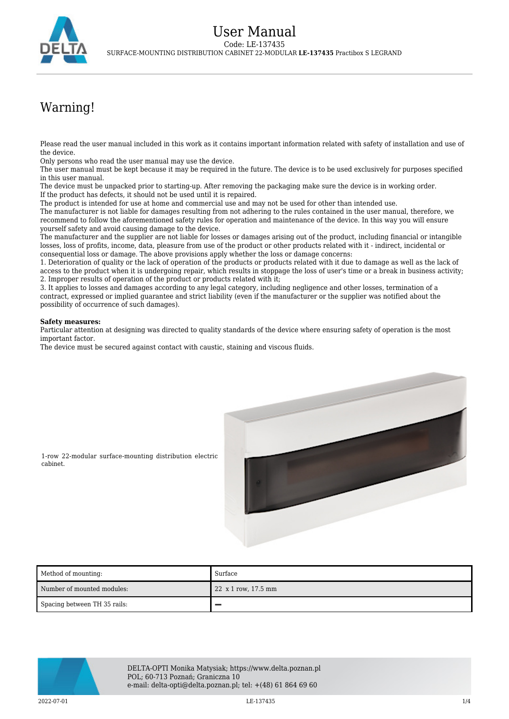

## Warning!

Please read the user manual included in this work as it contains important information related with safety of installation and use of the device.

Only persons who read the user manual may use the device.

The user manual must be kept because it may be required in the future. The device is to be used exclusively for purposes specified in this user manual.

The device must be unpacked prior to starting-up. After removing the packaging make sure the device is in working order. If the product has defects, it should not be used until it is repaired.

The product is intended for use at home and commercial use and may not be used for other than intended use.

The manufacturer is not liable for damages resulting from not adhering to the rules contained in the user manual, therefore, we recommend to follow the aforementioned safety rules for operation and maintenance of the device. In this way you will ensure yourself safety and avoid causing damage to the device.

The manufacturer and the supplier are not liable for losses or damages arising out of the product, including financial or intangible losses, loss of profits, income, data, pleasure from use of the product or other products related with it - indirect, incidental or consequential loss or damage. The above provisions apply whether the loss or damage concerns:

1. Deterioration of quality or the lack of operation of the products or products related with it due to damage as well as the lack of access to the product when it is undergoing repair, which results in stoppage the loss of user's time or a break in business activity; 2. Improper results of operation of the product or products related with it;

3. It applies to losses and damages according to any legal category, including negligence and other losses, termination of a contract, expressed or implied guarantee and strict liability (even if the manufacturer or the supplier was notified about the possibility of occurrence of such damages).

## **Safety measures:**

Particular attention at designing was directed to quality standards of the device where ensuring safety of operation is the most important factor.

The device must be secured against contact with caustic, staining and viscous fluids.



1-row 22-modular surface-mounting distribution electric cabinet.

| Method of mounting:          | Surface             |
|------------------------------|---------------------|
| Number of mounted modules:   | 22 x 1 row, 17.5 mm |
| Spacing between TH 35 rails: |                     |



DELTA-OPTI Monika Matysiak; https://www.delta.poznan.pl POL; 60-713 Poznań; Graniczna 10 e-mail: delta-opti@delta.poznan.pl; tel: +(48) 61 864 69 60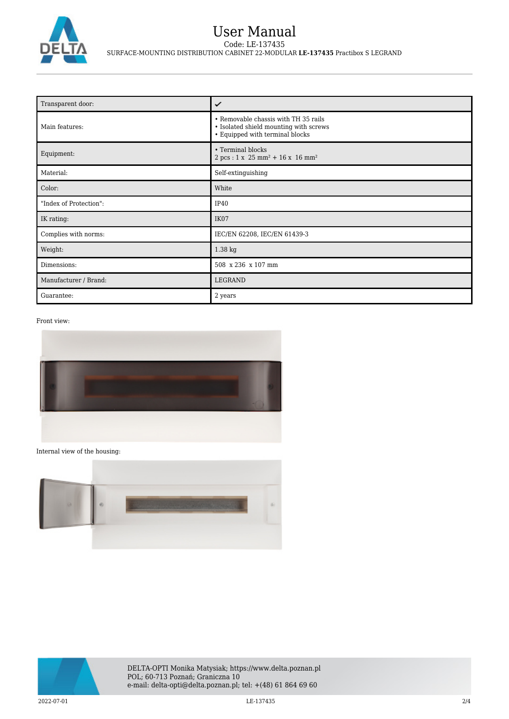

| Transparent door:      | ✓                                                                                                                 |
|------------------------|-------------------------------------------------------------------------------------------------------------------|
| Main features:         | • Removable chassis with TH 35 rails<br>· Isolated shield mounting with screws<br>• Equipped with terminal blocks |
| Equipment:             | • Terminal blocks<br>$2 pcs : 1 x 25 mm^2 + 16 x 16 mm^2$                                                         |
| Material:              | Self-extinguishing                                                                                                |
| Color:                 | White                                                                                                             |
| "Index of Protection": | IP40                                                                                                              |
| IK rating:             | IK07                                                                                                              |
| Complies with norms:   | IEC/EN 62208, IEC/EN 61439-3                                                                                      |
| Weight:                | 1.38 kg                                                                                                           |
| Dimensions:            | 508 x 236 x 107 mm                                                                                                |
| Manufacturer / Brand:  | LEGRAND                                                                                                           |
| Guarantee:             | 2 years                                                                                                           |

## Front view:



## Internal view of the housing:



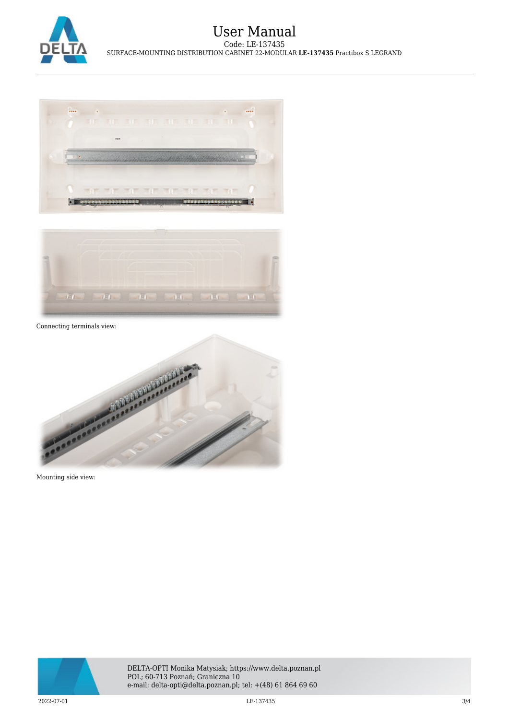





Connecting terminals view:



Mounting side view:



DELTA-OPTI Monika Matysiak; https://www.delta.poznan.pl POL; 60-713 Poznań; Graniczna 10 e-mail: delta-opti@delta.poznan.pl; tel: +(48) 61 864 69 60

 $\rm LE\text{-}137435$   $\rm LE\text{-}137435$   $\rm3/4$